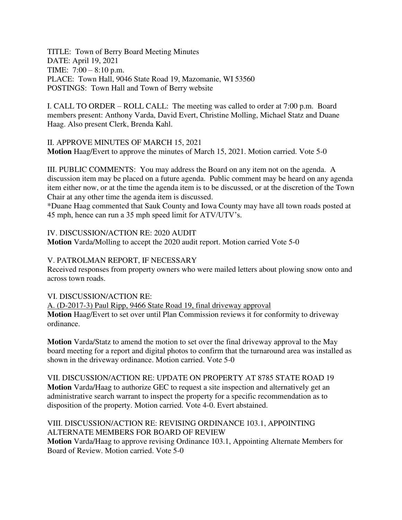TITLE: Town of Berry Board Meeting Minutes DATE: April 19, 2021 TIME: 7:00 – 8:10 p.m. PLACE: Town Hall, 9046 State Road 19, Mazomanie, WI 53560 POSTINGS: Town Hall and Town of Berry website

I. CALL TO ORDER – ROLL CALL: The meeting was called to order at 7:00 p.m. Board members present: Anthony Varda, David Evert, Christine Molling, Michael Statz and Duane Haag. Also present Clerk, Brenda Kahl.

II. APPROVE MINUTES OF MARCH 15, 2021 **Motion** Haag/Evert to approve the minutes of March 15, 2021. Motion carried. Vote 5-0

III. PUBLIC COMMENTS: You may address the Board on any item not on the agenda. A discussion item may be placed on a future agenda. Public comment may be heard on any agenda item either now, or at the time the agenda item is to be discussed, or at the discretion of the Town Chair at any other time the agenda item is discussed.

\*Duane Haag commented that Sauk County and Iowa County may have all town roads posted at 45 mph, hence can run a 35 mph speed limit for ATV/UTV's.

IV. DISCUSSION/ACTION RE: 2020 AUDIT

**Motion** Varda/Molling to accept the 2020 audit report. Motion carried Vote 5-0

#### V. PATROLMAN REPORT, IF NECESSARY

Received responses from property owners who were mailed letters about plowing snow onto and across town roads.

#### VI. DISCUSSION/ACTION RE:

A. (D-2017-3) Paul Ripp, 9466 State Road 19, final driveway approval **Motion** Haag/Evert to set over until Plan Commission reviews it for conformity to driveway ordinance.

**Motion** Varda/Statz to amend the motion to set over the final driveway approval to the May board meeting for a report and digital photos to confirm that the turnaround area was installed as shown in the driveway ordinance. Motion carried. Vote 5-0

VII. DISCUSSION/ACTION RE: UPDATE ON PROPERTY AT 8785 STATE ROAD 19 **Motion** Varda/Haag to authorize GEC to request a site inspection and alternatively get an administrative search warrant to inspect the property for a specific recommendation as to disposition of the property. Motion carried. Vote 4-0. Evert abstained.

#### VIII. DISCUSSION/ACTION RE: REVISING ORDINANCE 103.1, APPOINTING ALTERNATE MEMBERS FOR BOARD OF REVIEW

**Motion** Varda/Haag to approve revising Ordinance 103.1, Appointing Alternate Members for Board of Review. Motion carried. Vote 5-0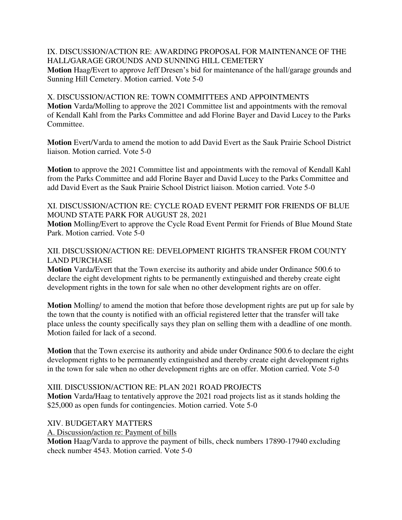# IX. DISCUSSION/ACTION RE: AWARDING PROPOSAL FOR MAINTENANCE OF THE HALL/GARAGE GROUNDS AND SUNNING HILL CEMETERY

**Motion** Haag/Evert to approve Jeff Dresen's bid for maintenance of the hall/garage grounds and Sunning Hill Cemetery. Motion carried. Vote 5-0

## X. DISCUSSION/ACTION RE: TOWN COMMITTEES AND APPOINTMENTS **Motion** Varda/Molling to approve the 2021 Committee list and appointments with the removal of Kendall Kahl from the Parks Committee and add Florine Bayer and David Lucey to the Parks Committee.

**Motion** Evert/Varda to amend the motion to add David Evert as the Sauk Prairie School District liaison. Motion carried. Vote 5-0

**Motion** to approve the 2021 Committee list and appointments with the removal of Kendall Kahl from the Parks Committee and add Florine Bayer and David Lucey to the Parks Committee and add David Evert as the Sauk Prairie School District liaison. Motion carried. Vote 5-0

# XI. DISCUSSION/ACTION RE: CYCLE ROAD EVENT PERMIT FOR FRIENDS OF BLUE MOUND STATE PARK FOR AUGUST 28, 2021

**Motion** Molling/Evert to approve the Cycle Road Event Permit for Friends of Blue Mound State Park. Motion carried. Vote 5-0

## XII. DISCUSSION/ACTION RE: DEVELOPMENT RIGHTS TRANSFER FROM COUNTY LAND PURCHASE

**Motion** Varda/Evert that the Town exercise its authority and abide under Ordinance 500.6 to declare the eight development rights to be permanently extinguished and thereby create eight development rights in the town for sale when no other development rights are on offer.

**Motion** Molling/ to amend the motion that before those development rights are put up for sale by the town that the county is notified with an official registered letter that the transfer will take place unless the county specifically says they plan on selling them with a deadline of one month. Motion failed for lack of a second.

**Motion** that the Town exercise its authority and abide under Ordinance 500.6 to declare the eight development rights to be permanently extinguished and thereby create eight development rights in the town for sale when no other development rights are on offer. Motion carried. Vote 5-0

## XIII. DISCUSSION/ACTION RE: PLAN 2021 ROAD PROJECTS

**Motion** Varda/Haag to tentatively approve the 2021 road projects list as it stands holding the \$25,000 as open funds for contingencies. Motion carried. Vote 5-0

## XIV. BUDGETARY MATTERS

A. Discussion/action re: Payment of bills

**Motion** Haag/Varda to approve the payment of bills, check numbers 17890-17940 excluding check number 4543. Motion carried. Vote 5-0